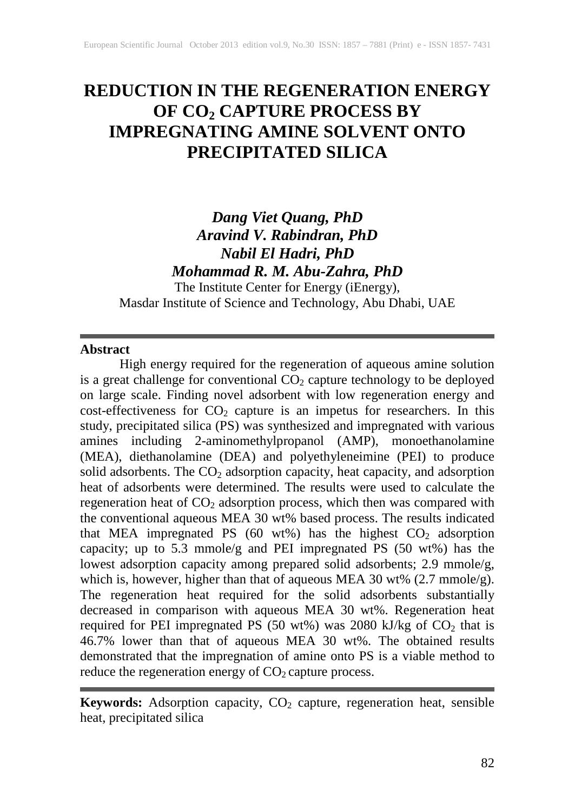# **REDUCTION IN THE REGENERATION ENERGY OF CO2 CAPTURE PROCESS BY IMPREGNATING AMINE SOLVENT ONTO PRECIPITATED SILICA**

# *Dang Viet Quang, PhD Aravind V. Rabindran, PhD Nabil El Hadri, PhD Mohammad R. M. Abu-Zahra, PhD*

The Institute Center for Energy (iEnergy), Masdar Institute of Science and Technology, Abu Dhabi, UAE

## **Abstract**

High energy required for the regeneration of aqueous amine solution is a great challenge for conventional  $CO<sub>2</sub>$  capture technology to be deployed on large scale. Finding novel adsorbent with low regeneration energy and cost-effectiveness for  $CO<sub>2</sub>$  capture is an impetus for researchers. In this study, precipitated silica (PS) was synthesized and impregnated with various amines including 2-aminomethylpropanol (AMP), monoethanolamine (MEA), diethanolamine (DEA) and polyethyleneimine (PEI) to produce solid adsorbents. The  $CO<sub>2</sub>$  adsorption capacity, heat capacity, and adsorption heat of adsorbents were determined. The results were used to calculate the regeneration heat of  $CO<sub>2</sub>$  adsorption process, which then was compared with the conventional aqueous MEA 30 wt% based process. The results indicated that MEA impregnated PS  $(60 \text{ wt\%})$  has the highest  $CO<sub>2</sub>$  adsorption capacity; up to 5.3 mmole/g and PEI impregnated PS (50 wt%) has the lowest adsorption capacity among prepared solid adsorbents; 2.9 mmole/g, which is, however, higher than that of aqueous MEA 30 wt% (2.7 mmole/g). The regeneration heat required for the solid adsorbents substantially decreased in comparison with aqueous MEA 30 wt%. Regeneration heat required for PEI impregnated PS (50 wt%) was 2080 kJ/kg of  $CO<sub>2</sub>$  that is 46.7% lower than that of aqueous MEA 30 wt%. The obtained results demonstrated that the impregnation of amine onto PS is a viable method to reduce the regeneration energy of  $CO<sub>2</sub>$  capture process.

**Keywords:** Adsorption capacity, CO<sub>2</sub> capture, regeneration heat, sensible heat, precipitated silica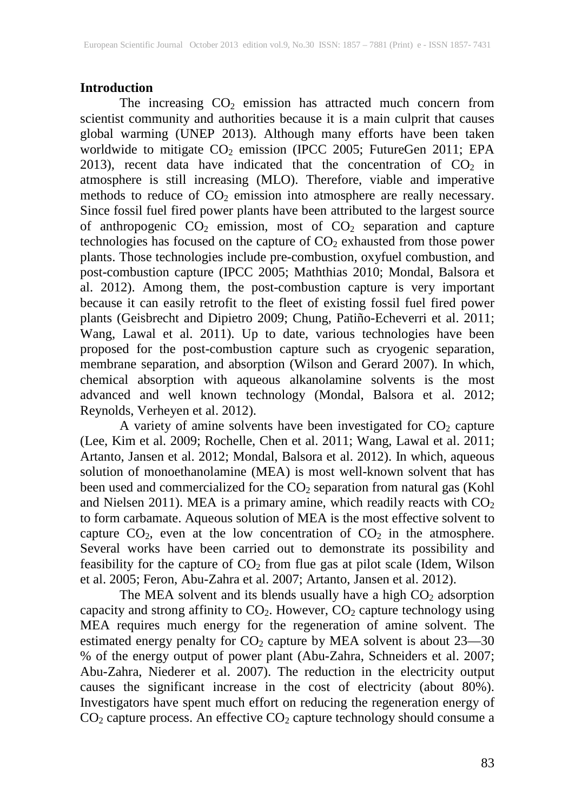## **Introduction**

The increasing  $CO<sub>2</sub>$  emission has attracted much concern from scientist community and authorities because it is a main culprit that causes global warming (UNEP 2013). Although many efforts have been taken worldwide to mitigate  $CO<sub>2</sub>$  emission (IPCC 2005; FutureGen 2011; EPA 2013), recent data have indicated that the concentration of  $CO<sub>2</sub>$  in atmosphere is still increasing (MLO). Therefore, viable and imperative methods to reduce of  $CO<sub>2</sub>$  emission into atmosphere are really necessary. Since fossil fuel fired power plants have been attributed to the largest source of anthropogenic  $CO<sub>2</sub>$  emission, most of  $CO<sub>2</sub>$  separation and capture technologies has focused on the capture of  $CO<sub>2</sub>$  exhausted from those power plants. Those technologies include pre-combustion, oxyfuel combustion, and post-combustion capture (IPCC 2005; Maththias 2010; Mondal, Balsora et al. 2012). Among them, the post-combustion capture is very important because it can easily retrofit to the fleet of existing fossil fuel fired power plants (Geisbrecht and Dipietro 2009; Chung, Patiño-Echeverri et al. 2011; Wang, Lawal et al. 2011). Up to date, various technologies have been proposed for the post-combustion capture such as cryogenic separation, membrane separation, and absorption (Wilson and Gerard 2007). In which, chemical absorption with aqueous alkanolamine solvents is the most advanced and well known technology (Mondal, Balsora et al. 2012; Reynolds, Verheyen et al. 2012).

A variety of amine solvents have been investigated for  $CO<sub>2</sub>$  capture (Lee, Kim et al. 2009; Rochelle, Chen et al. 2011; Wang, Lawal et al. 2011; Artanto, Jansen et al. 2012; Mondal, Balsora et al. 2012). In which, aqueous solution of monoethanolamine (MEA) is most well-known solvent that has been used and commercialized for the  $CO<sub>2</sub>$  separation from natural gas (Kohl and Nielsen 2011). MEA is a primary amine, which readily reacts with  $CO<sub>2</sub>$ to form carbamate. Aqueous solution of MEA is the most effective solvent to capture  $CO_2$ , even at the low concentration of  $CO_2$  in the atmosphere. Several works have been carried out to demonstrate its possibility and feasibility for the capture of  $CO<sub>2</sub>$  from flue gas at pilot scale (Idem, Wilson et al. 2005; Feron, Abu-Zahra et al. 2007; Artanto, Jansen et al. 2012).

The MEA solvent and its blends usually have a high  $CO<sub>2</sub>$  adsorption capacity and strong affinity to  $CO<sub>2</sub>$ . However,  $CO<sub>2</sub>$  capture technology using MEA requires much energy for the regeneration of amine solvent. The estimated energy penalty for  $CO<sub>2</sub>$  capture by MEA solvent is about  $23-30$ % of the energy output of power plant (Abu-Zahra, Schneiders et al. 2007; Abu-Zahra, Niederer et al. 2007). The reduction in the electricity output causes the significant increase in the cost of electricity (about 80%). Investigators have spent much effort on reducing the regeneration energy of  $CO<sub>2</sub>$  capture process. An effective  $CO<sub>2</sub>$  capture technology should consume a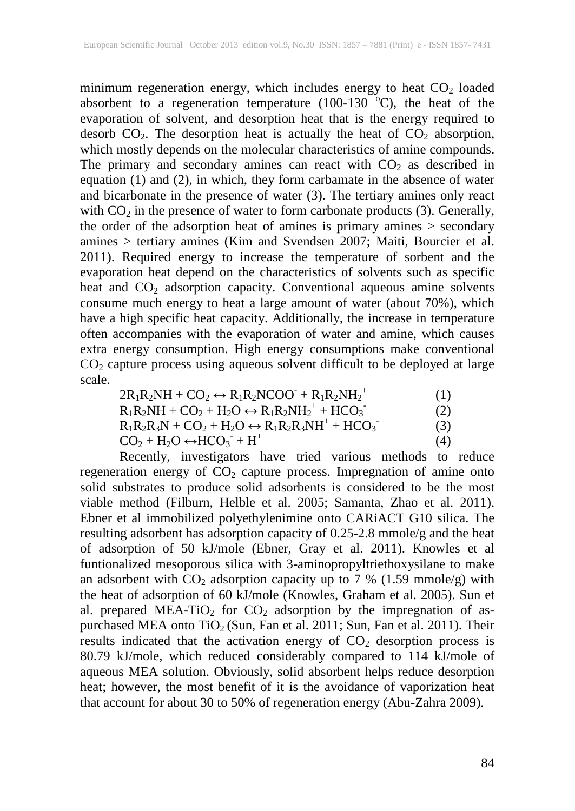minimum regeneration energy, which includes energy to heat  $CO<sub>2</sub>$  loaded absorbent to a regeneration temperature  $(100-130\text{ °C})$ , the heat of the evaporation of solvent, and desorption heat that is the energy required to desorb  $CO<sub>2</sub>$ . The desorption heat is actually the heat of  $CO<sub>2</sub>$  absorption, which mostly depends on the molecular characteristics of amine compounds. The primary and secondary amines can react with  $CO<sub>2</sub>$  as described in equation (1) and (2), in which, they form carbamate in the absence of water and bicarbonate in the presence of water (3). The tertiary amines only react with  $CO<sub>2</sub>$  in the presence of water to form carbonate products (3). Generally, the order of the adsorption heat of amines is primary amines > secondary amines > tertiary amines (Kim and Svendsen 2007; Maiti, Bourcier et al. 2011). Required energy to increase the temperature of sorbent and the evaporation heat depend on the characteristics of solvents such as specific heat and  $CO<sub>2</sub>$  adsorption capacity. Conventional aqueous amine solvents consume much energy to heat a large amount of water (about 70%), which have a high specific heat capacity. Additionally, the increase in temperature often accompanies with the evaporation of water and amine, which causes extra energy consumption. High energy consumptions make conventional  $CO<sub>2</sub>$  capture process using aqueous solvent difficult to be deployed at large scale.

| $2R_1R_2NH + CO_2 \leftrightarrow R_1R_2NCOO + R_1R_2NH_2^+$       | (1) |
|--------------------------------------------------------------------|-----|
| $R_1R_2NH + CO_2 + H_2O \leftrightarrow R_1R_2NH_2^+ + HCO_3^-$    | (2) |
| $R_1R_2R_3N + CO_2 + H_2O \leftrightarrow R_1R_2R_3NH^+ + HCO_3^-$ | (3) |
| $CO2 + H2O \leftrightarrow HCO3 + H+$                              | (4) |

Recently, investigators have tried various methods to reduce regeneration energy of  $CO<sub>2</sub>$  capture process. Impregnation of amine onto solid substrates to produce solid adsorbents is considered to be the most viable method (Filburn, Helble et al. 2005; Samanta, Zhao et al. 2011). Ebner et al immobilized polyethylenimine onto CARiACT G10 silica. The resulting adsorbent has adsorption capacity of 0.25-2.8 mmole/g and the heat of adsorption of 50 kJ/mole (Ebner, Gray et al. 2011). Knowles et al funtionalized mesoporous silica with 3-aminopropyltriethoxysilane to make an adsorbent with  $CO_2$  adsorption capacity up to 7 % (1.59 mmole/g) with the heat of adsorption of 60 kJ/mole (Knowles, Graham et al. 2005). Sun et al. prepared  $\text{MEA-TiO}_2$  for  $\text{CO}_2$  adsorption by the impregnation of aspurchased MEA onto  $TiO<sub>2</sub>$  (Sun, Fan et al. 2011; Sun, Fan et al. 2011). Their results indicated that the activation energy of  $CO<sub>2</sub>$  desorption process is 80.79 kJ/mole, which reduced considerably compared to 114 kJ/mole of aqueous MEA solution. Obviously, solid absorbent helps reduce desorption heat; however, the most benefit of it is the avoidance of vaporization heat that account for about 30 to 50% of regeneration energy (Abu-Zahra 2009).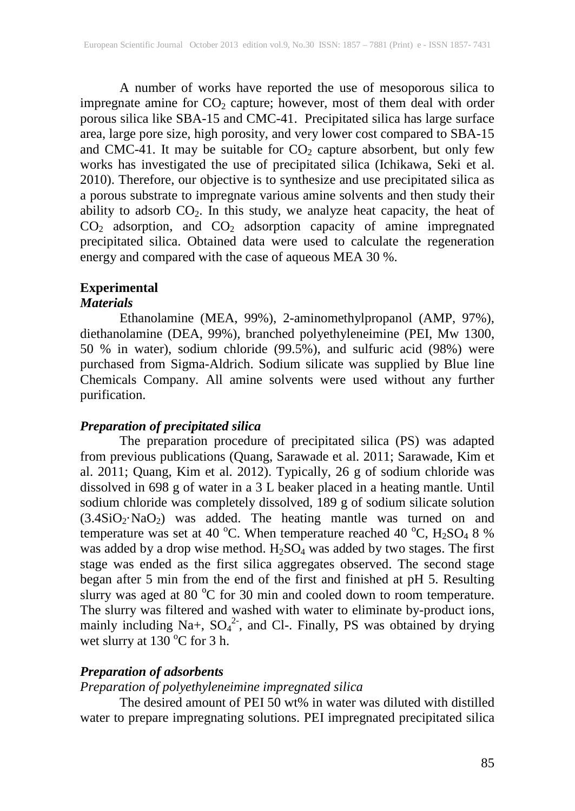A number of works have reported the use of mesoporous silica to impregnate amine for  $CO<sub>2</sub>$  capture; however, most of them deal with order porous silica like SBA-15 and CMC-41. Precipitated silica has large surface area, large pore size, high porosity, and very lower cost compared to SBA-15 and CMC-41. It may be suitable for  $CO<sub>2</sub>$  capture absorbent, but only few works has investigated the use of precipitated silica (Ichikawa, Seki et al. 2010). Therefore, our objective is to synthesize and use precipitated silica as a porous substrate to impregnate various amine solvents and then study their ability to adsorb  $CO<sub>2</sub>$ . In this study, we analyze heat capacity, the heat of  $CO<sub>2</sub>$  adsorption, and  $CO<sub>2</sub>$  adsorption capacity of amine impregnated precipitated silica. Obtained data were used to calculate the regeneration energy and compared with the case of aqueous MEA 30 %.

# **Experimental**

## *Materials*

Ethanolamine (MEA, 99%), 2-aminomethylpropanol (AMP, 97%), diethanolamine (DEA, 99%), branched polyethyleneimine (PEI, Mw 1300, 50 % in water), sodium chloride (99.5%), and sulfuric acid (98%) were purchased from Sigma-Aldrich. Sodium silicate was supplied by Blue line Chemicals Company. All amine solvents were used without any further purification.

## *Preparation of precipitated silica*

The preparation procedure of precipitated silica (PS) was adapted from previous publications (Quang, Sarawade et al. 2011; Sarawade, Kim et al. 2011; Quang, Kim et al. 2012). Typically, 26 g of sodium chloride was dissolved in 698 g of water in a 3 L beaker placed in a heating mantle. Until sodium chloride was completely dissolved, 189 g of sodium silicate solution  $(3.4SiO<sub>2</sub>·NaO<sub>2</sub>)$  was added. The heating mantle was turned on and temperature was set at 40 °C. When temperature reached 40 °C,  $H_2SO_4$  8 % was added by a drop wise method.  $H_2SO_4$  was added by two stages. The first stage was ended as the first silica aggregates observed. The second stage began after 5 min from the end of the first and finished at pH 5. Resulting slurry was aged at 80 °C for 30 min and cooled down to room temperature. The slurry was filtered and washed with water to eliminate by-product ions, mainly including Na+,  $SO_4^2$ <sup>2</sup>, and Cl-. Finally, PS was obtained by drying wet slurry at  $130^{\circ}$ C for 3 h.

# *Preparation of adsorbents*

*Preparation of polyethyleneimine impregnated silica*

The desired amount of PEI 50 wt% in water was diluted with distilled water to prepare impregnating solutions. PEI impregnated precipitated silica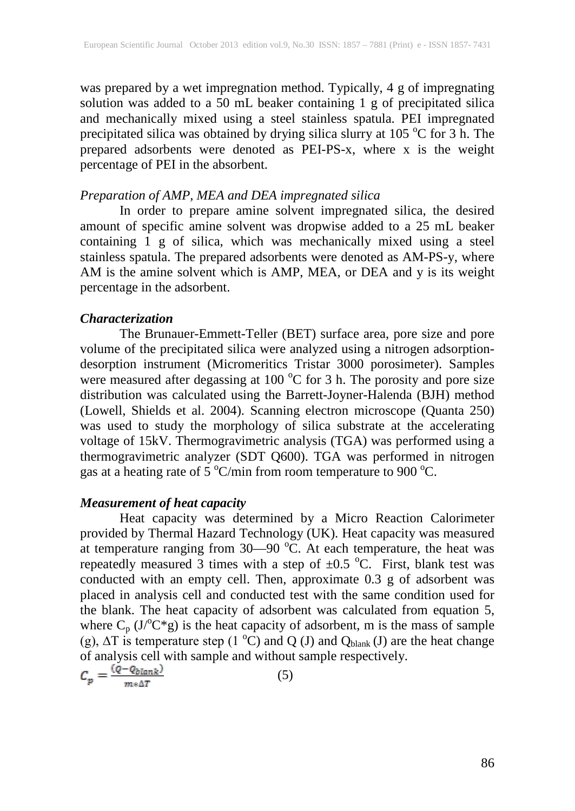was prepared by a wet impregnation method. Typically, 4 g of impregnating solution was added to a 50 mL beaker containing 1 g of precipitated silica and mechanically mixed using a steel stainless spatula. PEI impregnated precipitated silica was obtained by drying silica slurry at  $105\,^{\circ}\text{C}$  for 3 h. The prepared adsorbents were denoted as PEI-PS-x, where x is the weight percentage of PEI in the absorbent.

# *Preparation of AMP, MEA and DEA impregnated silica*

In order to prepare amine solvent impregnated silica, the desired amount of specific amine solvent was dropwise added to a 25 mL beaker containing 1 g of silica, which was mechanically mixed using a steel stainless spatula. The prepared adsorbents were denoted as AM-PS-y, where AM is the amine solvent which is AMP, MEA, or DEA and y is its weight percentage in the adsorbent.

## *Characterization*

The Brunauer-Emmett-Teller (BET) surface area, pore size and pore volume of the precipitated silica were analyzed using a nitrogen adsorptiondesorption instrument (Micromeritics Tristar 3000 porosimeter). Samples were measured after degassing at 100  $^{\circ}$ C for 3 h. The porosity and pore size distribution was calculated using the Barrett-Joyner-Halenda (BJH) method (Lowell, Shields et al. 2004). Scanning electron microscope (Quanta 250) was used to study the morphology of silica substrate at the accelerating voltage of 15kV. Thermogravimetric analysis (TGA) was performed using a thermogravimetric analyzer (SDT Q600). TGA was performed in nitrogen gas at a heating rate of 5  $\mathrm{C/min}$  from room temperature to 900  $\mathrm{C}$ .

# *Measurement of heat capacity*

Heat capacity was determined by a Micro Reaction Calorimeter provided by Thermal Hazard Technology (UK). Heat capacity was measured at temperature ranging from  $30-90$  °C. At each temperature, the heat was repeatedly measured 3 times with a step of  $\pm 0.5$  °C. First, blank test was conducted with an empty cell. Then, approximate 0.3 g of adsorbent was placed in analysis cell and conducted test with the same condition used for the blank. The heat capacity of adsorbent was calculated from equation 5, where  $C_p$  (J $^{\circ}$ C\*g) is the heat capacity of adsorbent, m is the mass of sample (g),  $\Delta T$  is temperature step (1 °C) and Q (J) and Q<sub>blank</sub> (J) are the heat change of analysis cell with sample and without sample respectively.

$$
\mathcal{C}_p = \tfrac{\mathsf{Q} - \mathsf{Q} \delta \mathsf{I} \mathsf{a} \mathsf{n} \mathsf{k}^J}{m*\Delta T}
$$

$$
(5)
$$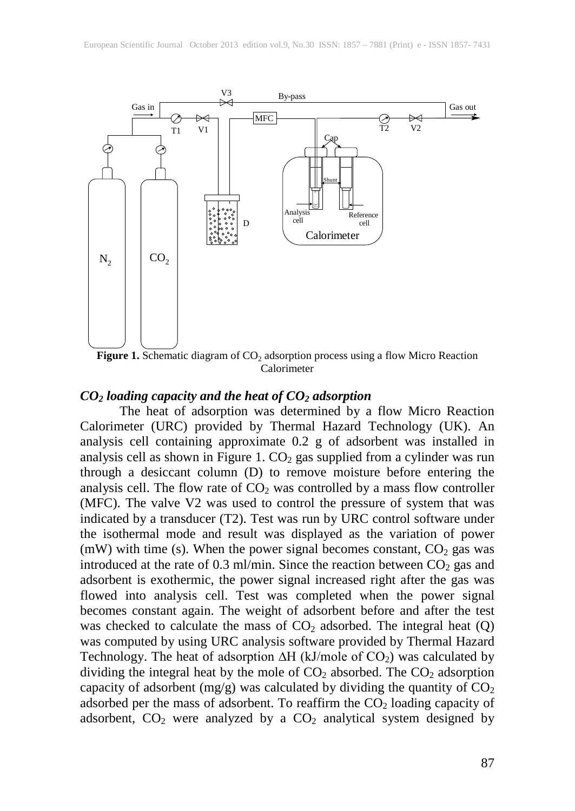

Figure 1. Schematic diagram of CO<sub>2</sub> adsorption process using a flow Micro Reaction Calorimeter

## *CO2 loading capacity and the heat of CO2 adsorption*

The heat of adsorption was determined by a flow Micro Reaction Calorimeter (URC) provided by Thermal Hazard Technology (UK). An analysis cell containing approximate 0.2 g of adsorbent was installed in analysis cell as shown in Figure 1.  $CO<sub>2</sub>$  gas supplied from a cylinder was run through a desiccant column (D) to remove moisture before entering the analysis cell. The flow rate of  $CO<sub>2</sub>$  was controlled by a mass flow controller (MFC). The valve V2 was used to control the pressure of system that was indicated by a transducer (T2). Test was run by URC control software under the isothermal mode and result was displayed as the variation of power (mW) with time (s). When the power signal becomes constant,  $CO<sub>2</sub>$  gas was introduced at the rate of 0.3 ml/min. Since the reaction between  $CO<sub>2</sub>$  gas and adsorbent is exothermic, the power signal increased right after the gas was flowed into analysis cell. Test was completed when the power signal becomes constant again. The weight of adsorbent before and after the test was checked to calculate the mass of  $CO<sub>2</sub>$  adsorbed. The integral heat  $(Q)$ was computed by using URC analysis software provided by Thermal Hazard Technology. The heat of adsorption ∆H (kJ/mole of CO<sub>2</sub>) was calculated by dividing the integral heat by the mole of  $CO<sub>2</sub>$  absorbed. The  $CO<sub>2</sub>$  adsorption capacity of adsorbent (mg/g) was calculated by dividing the quantity of  $CO<sub>2</sub>$ adsorbed per the mass of adsorbent. To reaffirm the  $CO<sub>2</sub>$  loading capacity of adsorbent,  $CO<sub>2</sub>$  were analyzed by a  $CO<sub>2</sub>$  analytical system designed by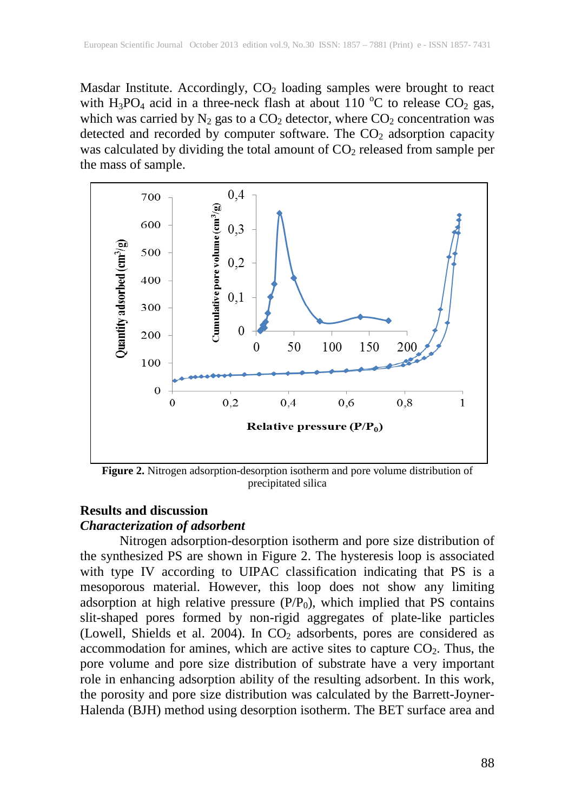Masdar Institute. Accordingly,  $CO<sub>2</sub>$  loading samples were brought to react with  $H_3PO_4$  acid in a three-neck flash at about 110 °C to release CO<sub>2</sub> gas, which was carried by  $N_2$  gas to a  $CO_2$  detector, where  $CO_2$  concentration was detected and recorded by computer software. The  $CO<sub>2</sub>$  adsorption capacity was calculated by dividing the total amount of  $CO<sub>2</sub>$  released from sample per the mass of sample.



**Figure 2.** Nitrogen adsorption-desorption isotherm and pore volume distribution of precipitated silica

## **Results and discussion**

## *Characterization of adsorbent*

Nitrogen adsorption-desorption isotherm and pore size distribution of the synthesized PS are shown in Figure 2. The hysteresis loop is associated with type IV according to UIPAC classification indicating that PS is a mesoporous material. However, this loop does not show any limiting adsorption at high relative pressure  $(P/P_0)$ , which implied that PS contains slit-shaped pores formed by non-rigid aggregates of plate-like particles (Lowell, Shields et al. 2004). In  $CO<sub>2</sub>$  adsorbents, pores are considered as accommodation for amines, which are active sites to capture  $CO<sub>2</sub>$ . Thus, the pore volume and pore size distribution of substrate have a very important role in enhancing adsorption ability of the resulting adsorbent. In this work, the porosity and pore size distribution was calculated by the Barrett-Joyner-Halenda (BJH) method using desorption isotherm. The BET surface area and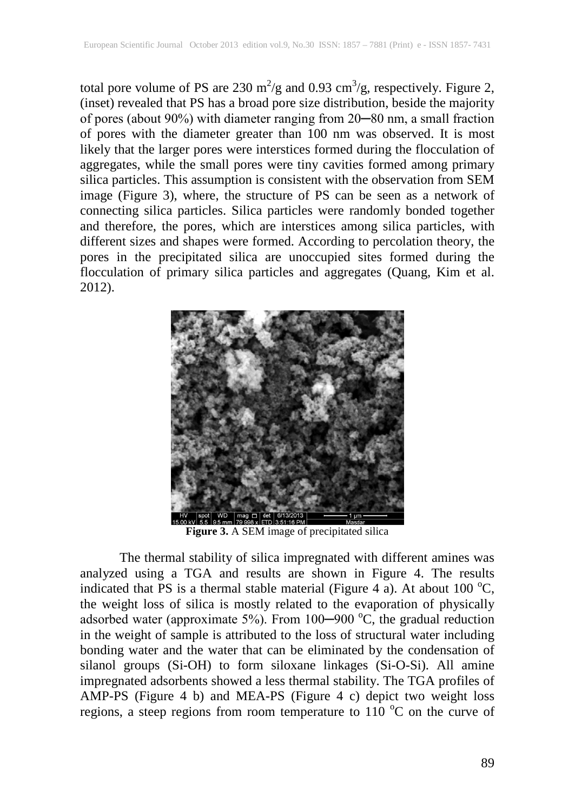total pore volume of PS are 230 m<sup>2</sup>/g and 0.93 cm<sup>3</sup>/g, respectively. Figure 2, (inset) revealed that PS has a broad pore size distribution, beside the majority of pores (about 90%) with diameter ranging from 20─80 nm, a small fraction of pores with the diameter greater than 100 nm was observed. It is most likely that the larger pores were interstices formed during the flocculation of aggregates, while the small pores were tiny cavities formed among primary silica particles. This assumption is consistent with the observation from SEM image (Figure 3), where, the structure of PS can be seen as a network of connecting silica particles. Silica particles were randomly bonded together and therefore, the pores, which are interstices among silica particles, with different sizes and shapes were formed. According to percolation theory, the pores in the precipitated silica are unoccupied sites formed during the flocculation of primary silica particles and aggregates (Quang, Kim et al. 2012).



**Figure 3.** A SEM image of precipitated silica

The thermal stability of silica impregnated with different amines was analyzed using a TGA and results are shown in Figure 4. The results indicated that PS is a thermal stable material (Figure 4 a). At about 100  $^{\circ}C$ , the weight loss of silica is mostly related to the evaporation of physically adsorbed water (approximate 5%). From 100-900 °C, the gradual reduction in the weight of sample is attributed to the loss of structural water including bonding water and the water that can be eliminated by the condensation of silanol groups (Si-OH) to form siloxane linkages (Si-O-Si). All amine impregnated adsorbents showed a less thermal stability. The TGA profiles of AMP-PS (Figure 4 b) and MEA-PS (Figure 4 c) depict two weight loss regions, a steep regions from room temperature to 110  $^{\circ}$ C on the curve of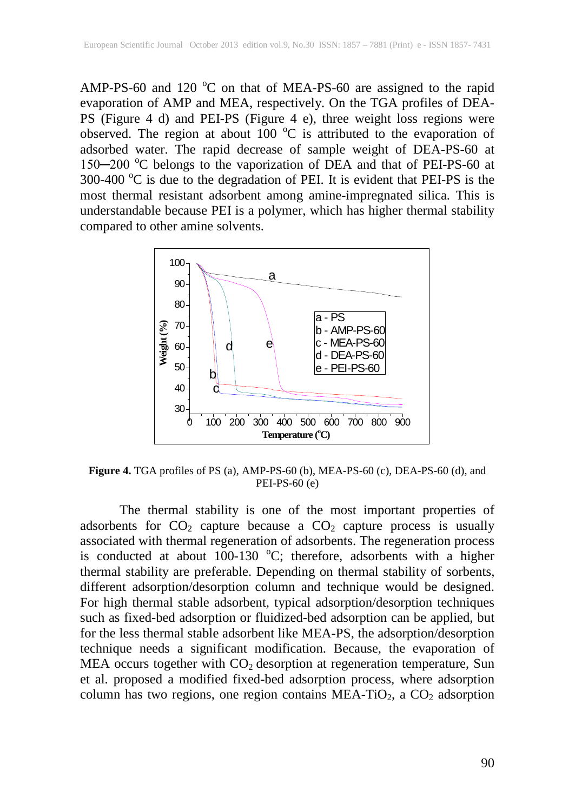AMP-PS-60 and 120  $^{\circ}$ C on that of MEA-PS-60 are assigned to the rapid evaporation of AMP and MEA, respectively. On the TGA profiles of DEA-PS (Figure 4 d) and PEI-PS (Figure 4 e), three weight loss regions were observed. The region at about 100  $^{\circ}$ C is attributed to the evaporation of adsorbed water. The rapid decrease of sample weight of DEA-PS-60 at 150-200 °C belongs to the vaporization of DEA and that of PEI-PS-60 at 300-400  $^{\circ}$ C is due to the degradation of PEI. It is evident that PEI-PS is the most thermal resistant adsorbent among amine-impregnated silica. This is understandable because PEI is a polymer, which has higher thermal stability compared to other amine solvents.



**Figure 4.** TGA profiles of PS (a), AMP-PS-60 (b), MEA-PS-60 (c), DEA-PS-60 (d), and PEI-PS-60 (e)

The thermal stability is one of the most important properties of adsorbents for  $CO<sub>2</sub>$  capture because a  $CO<sub>2</sub>$  capture process is usually associated with thermal regeneration of adsorbents. The regeneration process is conducted at about  $100-130$  °C; therefore, adsorbents with a higher thermal stability are preferable. Depending on thermal stability of sorbents, different adsorption/desorption column and technique would be designed. For high thermal stable adsorbent, typical adsorption/desorption techniques such as fixed-bed adsorption or fluidized-bed adsorption can be applied, but for the less thermal stable adsorbent like MEA-PS, the adsorption/desorption technique needs a significant modification. Because, the evaporation of MEA occurs together with  $CO<sub>2</sub>$  desorption at regeneration temperature, Sun et al. proposed a modified fixed-bed adsorption process, where adsorption column has two regions, one region contains MEA-TiO<sub>2</sub>, a CO<sub>2</sub> adsorption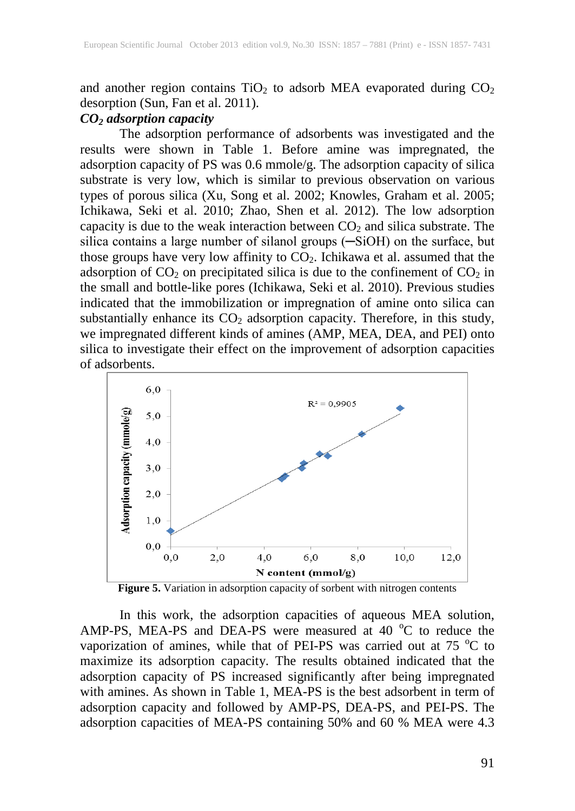and another region contains  $TiO<sub>2</sub>$  to adsorb MEA evaporated during  $CO<sub>2</sub>$ desorption (Sun, Fan et al. 2011).

# *CO2 adsorption capacity*

The adsorption performance of adsorbents was investigated and the results were shown in Table 1. Before amine was impregnated, the adsorption capacity of PS was 0.6 mmole/g. The adsorption capacity of silica substrate is very low, which is similar to previous observation on various types of porous silica (Xu, Song et al. 2002; Knowles, Graham et al. 2005; Ichikawa, Seki et al. 2010; Zhao, Shen et al. 2012). The low adsorption capacity is due to the weak interaction between  $CO<sub>2</sub>$  and silica substrate. The silica contains a large number of silanol groups (-SiOH) on the surface, but those groups have very low affinity to  $CO<sub>2</sub>$ . Ichikawa et al. assumed that the adsorption of  $CO_2$  on precipitated silica is due to the confinement of  $CO_2$  in the small and bottle-like pores (Ichikawa, Seki et al. 2010). Previous studies indicated that the immobilization or impregnation of amine onto silica can substantially enhance its  $CO<sub>2</sub>$  adsorption capacity. Therefore, in this study, we impregnated different kinds of amines (AMP, MEA, DEA, and PEI) onto silica to investigate their effect on the improvement of adsorption capacities of adsorbents.



**Figure 5.** Variation in adsorption capacity of sorbent with nitrogen contents

In this work, the adsorption capacities of aqueous MEA solution, AMP-PS, MEA-PS and DEA-PS were measured at 40  $^{\circ}$ C to reduce the vaporization of amines, while that of PEI-PS was carried out at  $75\,^{\circ}\text{C}$  to maximize its adsorption capacity. The results obtained indicated that the adsorption capacity of PS increased significantly after being impregnated with amines. As shown in Table 1, MEA-PS is the best adsorbent in term of adsorption capacity and followed by AMP-PS, DEA-PS, and PEI-PS. The adsorption capacities of MEA-PS containing 50% and 60 % MEA were 4.3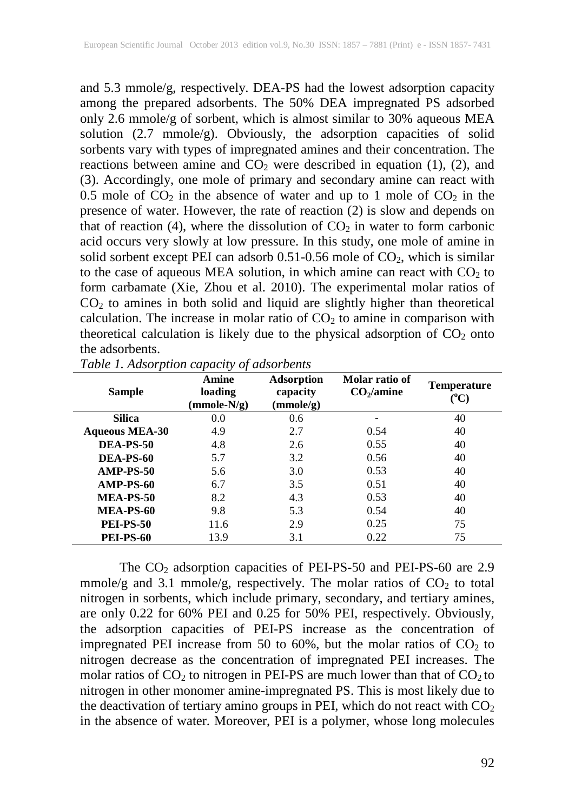and 5.3 mmole/g, respectively. DEA-PS had the lowest adsorption capacity among the prepared adsorbents. The 50% DEA impregnated PS adsorbed only 2.6 mmole/g of sorbent, which is almost similar to 30% aqueous MEA solution (2.7 mmole/g). Obviously, the adsorption capacities of solid sorbents vary with types of impregnated amines and their concentration. The reactions between amine and  $CO<sub>2</sub>$  were described in equation (1), (2), and (3). Accordingly, one mole of primary and secondary amine can react with 0.5 mole of  $CO<sub>2</sub>$  in the absence of water and up to 1 mole of  $CO<sub>2</sub>$  in the presence of water. However, the rate of reaction (2) is slow and depends on that of reaction (4), where the dissolution of  $CO<sub>2</sub>$  in water to form carbonic acid occurs very slowly at low pressure. In this study, one mole of amine in solid sorbent except PEI can adsorb  $0.51$ -0.56 mole of  $CO<sub>2</sub>$ , which is similar to the case of aqueous MEA solution, in which amine can react with  $CO<sub>2</sub>$  to form carbamate (Xie, Zhou et al. 2010). The experimental molar ratios of  $CO<sub>2</sub>$  to amines in both solid and liquid are slightly higher than theoretical calculation. The increase in molar ratio of  $CO<sub>2</sub>$  to amine in comparison with theoretical calculation is likely due to the physical adsorption of  $CO<sub>2</sub>$  onto the adsorbents.

| <b>Sample</b>         | Amine<br>loading<br>$(mmole-N/g)$ | <b>Adsorption</b><br>capacity<br>(mmole/g) | Molar ratio of<br>CO <sub>2</sub> /amine | <b>Temperature</b><br>$\rm ^{(o}C)$ |
|-----------------------|-----------------------------------|--------------------------------------------|------------------------------------------|-------------------------------------|
| <b>Silica</b>         | 0.0                               | 0.6                                        |                                          | 40                                  |
| <b>Aqueous MEA-30</b> | 4.9                               | 2.7                                        | 0.54                                     | 40                                  |
| <b>DEA-PS-50</b>      | 4.8                               | 2.6                                        | 0.55                                     | 40                                  |
| DEA-PS-60             | 5.7                               | 3.2                                        | 0.56                                     | 40                                  |
| AMP-PS-50             | 5.6                               | 3.0                                        | 0.53                                     | 40                                  |
| AMP-PS-60             | 6.7                               | 3.5                                        | 0.51                                     | 40                                  |
| MEA-PS-50             | 8.2                               | 4.3                                        | 0.53                                     | 40                                  |
| MEA-PS-60             | 9.8                               | 5.3                                        | 0.54                                     | 40                                  |
| <b>PEI-PS-50</b>      | 11.6                              | 2.9                                        | 0.25                                     | 75                                  |
| <b>PEI-PS-60</b>      | 13.9                              | 3.1                                        | 0.22                                     | 75                                  |

| Table 1. Adsorption capacity of adsorbents |  |  |
|--------------------------------------------|--|--|
|                                            |  |  |

The CO<sub>2</sub> adsorption capacities of PEI-PS-50 and PEI-PS-60 are 2.9 mmole/g and 3.1 mmole/g, respectively. The molar ratios of  $CO<sub>2</sub>$  to total nitrogen in sorbents, which include primary, secondary, and tertiary amines, are only 0.22 for 60% PEI and 0.25 for 50% PEI, respectively. Obviously, the adsorption capacities of PEI-PS increase as the concentration of impregnated PEI increase from 50 to 60%, but the molar ratios of  $CO<sub>2</sub>$  to nitrogen decrease as the concentration of impregnated PEI increases. The molar ratios of  $CO<sub>2</sub>$  to nitrogen in PEI-PS are much lower than that of  $CO<sub>2</sub>$  to nitrogen in other monomer amine-impregnated PS. This is most likely due to the deactivation of tertiary amino groups in PEI, which do not react with  $CO<sub>2</sub>$ in the absence of water. Moreover, PEI is a polymer, whose long molecules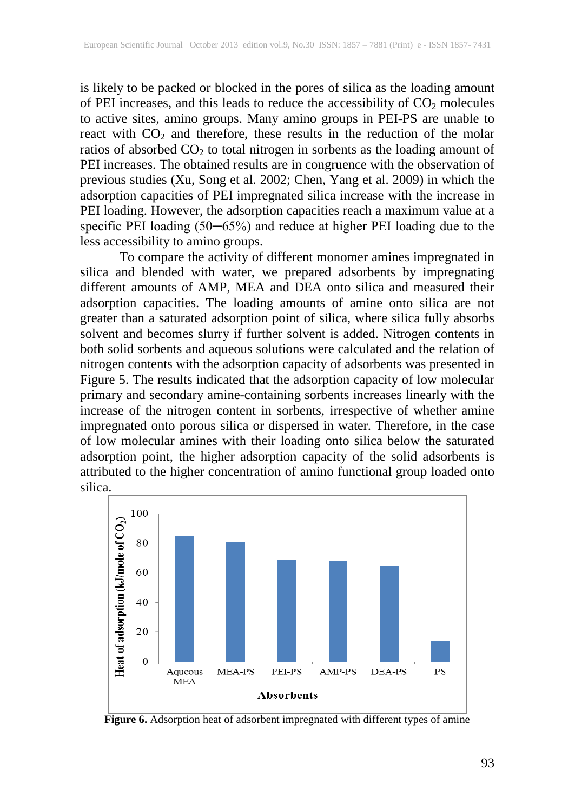is likely to be packed or blocked in the pores of silica as the loading amount of PEI increases, and this leads to reduce the accessibility of  $CO<sub>2</sub>$  molecules to active sites, amino groups. Many amino groups in PEI-PS are unable to react with  $CO<sub>2</sub>$  and therefore, these results in the reduction of the molar ratios of absorbed  $CO<sub>2</sub>$  to total nitrogen in sorbents as the loading amount of PEI increases. The obtained results are in congruence with the observation of previous studies (Xu, Song et al. 2002; Chen, Yang et al. 2009) in which the adsorption capacities of PEI impregnated silica increase with the increase in PEI loading. However, the adsorption capacities reach a maximum value at a specific PEI loading (50-65%) and reduce at higher PEI loading due to the less accessibility to amino groups.

To compare the activity of different monomer amines impregnated in silica and blended with water, we prepared adsorbents by impregnating different amounts of AMP, MEA and DEA onto silica and measured their adsorption capacities. The loading amounts of amine onto silica are not greater than a saturated adsorption point of silica, where silica fully absorbs solvent and becomes slurry if further solvent is added. Nitrogen contents in both solid sorbents and aqueous solutions were calculated and the relation of nitrogen contents with the adsorption capacity of adsorbents was presented in Figure 5. The results indicated that the adsorption capacity of low molecular primary and secondary amine-containing sorbents increases linearly with the increase of the nitrogen content in sorbents, irrespective of whether amine impregnated onto porous silica or dispersed in water. Therefore, in the case of low molecular amines with their loading onto silica below the saturated adsorption point, the higher adsorption capacity of the solid adsorbents is attributed to the higher concentration of amino functional group loaded onto silica.



**Figure 6.** Adsorption heat of adsorbent impregnated with different types of amine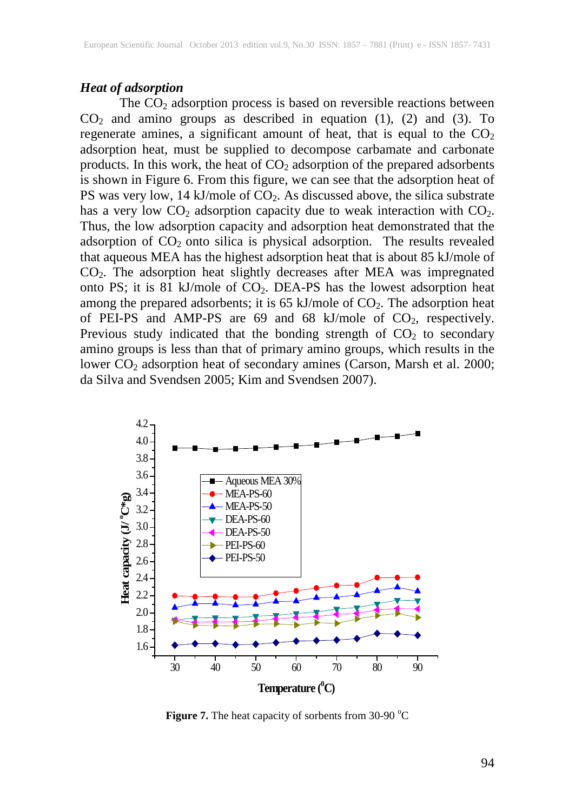# *Heat of adsorption*

The CO<sub>2</sub> adsorption process is based on reversible reactions between  $CO<sub>2</sub>$  and amino groups as described in equation (1), (2) and (3). To regenerate amines, a significant amount of heat, that is equal to the  $CO<sub>2</sub>$ adsorption heat, must be supplied to decompose carbamate and carbonate products. In this work, the heat of  $CO<sub>2</sub>$  adsorption of the prepared adsorbents is shown in Figure 6. From this figure, we can see that the adsorption heat of PS was very low, 14 kJ/mole of  $CO<sub>2</sub>$ . As discussed above, the silica substrate has a very low  $CO<sub>2</sub>$  adsorption capacity due to weak interaction with  $CO<sub>2</sub>$ . Thus, the low adsorption capacity and adsorption heat demonstrated that the adsorption of  $CO<sub>2</sub>$  onto silica is physical adsorption. The results revealed that aqueous MEA has the highest adsorption heat that is about 85 kJ/mole of CO2. The adsorption heat slightly decreases after MEA was impregnated onto PS; it is 81 kJ/mole of  $CO<sub>2</sub>$ . DEA-PS has the lowest adsorption heat among the prepared adsorbents; it is 65 kJ/mole of  $CO<sub>2</sub>$ . The adsorption heat of PEI-PS and AMP-PS are  $69$  and  $68$  kJ/mole of  $CO<sub>2</sub>$ , respectively. Previous study indicated that the bonding strength of  $CO<sub>2</sub>$  to secondary amino groups is less than that of primary amino groups, which results in the lower CO<sub>2</sub> adsorption heat of secondary amines (Carson, Marsh et al. 2000; da Silva and Svendsen 2005; Kim and Svendsen 2007).



Figure 7. The heat capacity of sorbents from 30-90 °C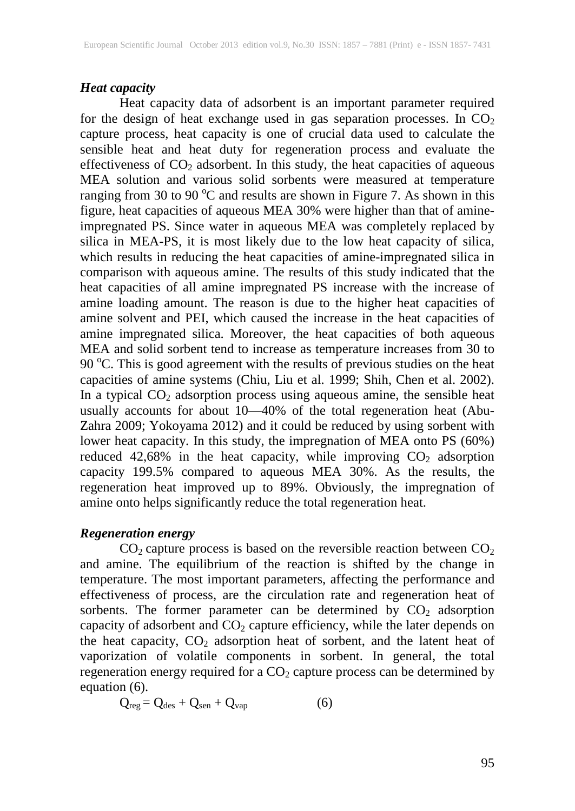## *Heat capacity*

Heat capacity data of adsorbent is an important parameter required for the design of heat exchange used in gas separation processes. In  $CO<sub>2</sub>$ capture process, heat capacity is one of crucial data used to calculate the sensible heat and heat duty for regeneration process and evaluate the effectiveness of  $CO<sub>2</sub>$  adsorbent. In this study, the heat capacities of aqueous MEA solution and various solid sorbents were measured at temperature ranging from 30 to 90 °C and results are shown in Figure 7. As shown in this figure, heat capacities of aqueous MEA 30% were higher than that of amineimpregnated PS. Since water in aqueous MEA was completely replaced by silica in MEA-PS, it is most likely due to the low heat capacity of silica, which results in reducing the heat capacities of amine-impregnated silica in comparison with aqueous amine. The results of this study indicated that the heat capacities of all amine impregnated PS increase with the increase of amine loading amount. The reason is due to the higher heat capacities of amine solvent and PEI, which caused the increase in the heat capacities of amine impregnated silica. Moreover, the heat capacities of both aqueous MEA and solid sorbent tend to increase as temperature increases from 30 to 90 °C. This is good agreement with the results of previous studies on the heat capacities of amine systems (Chiu, Liu et al. 1999; Shih, Chen et al. 2002). In a typical  $CO<sub>2</sub>$  adsorption process using aqueous amine, the sensible heat usually accounts for about 10—40% of the total regeneration heat (Abu-Zahra 2009; Yokoyama 2012) and it could be reduced by using sorbent with lower heat capacity. In this study, the impregnation of MEA onto PS (60%) reduced 42,68% in the heat capacity, while improving  $CO<sub>2</sub>$  adsorption capacity 199.5% compared to aqueous MEA 30%. As the results, the regeneration heat improved up to 89%. Obviously, the impregnation of amine onto helps significantly reduce the total regeneration heat.

## *Regeneration energy*

 $CO<sub>2</sub>$  capture process is based on the reversible reaction between  $CO<sub>2</sub>$ and amine. The equilibrium of the reaction is shifted by the change in temperature. The most important parameters, affecting the performance and effectiveness of process, are the circulation rate and regeneration heat of sorbents. The former parameter can be determined by  $CO<sub>2</sub>$  adsorption capacity of adsorbent and  $CO<sub>2</sub>$  capture efficiency, while the later depends on the heat capacity,  $CO<sub>2</sub>$  adsorption heat of sorbent, and the latent heat of vaporization of volatile components in sorbent. In general, the total regeneration energy required for a  $CO<sub>2</sub>$  capture process can be determined by equation (6).

$$
Q_{reg} = Q_{des} + Q_{sen} + Q_{vap} \tag{6}
$$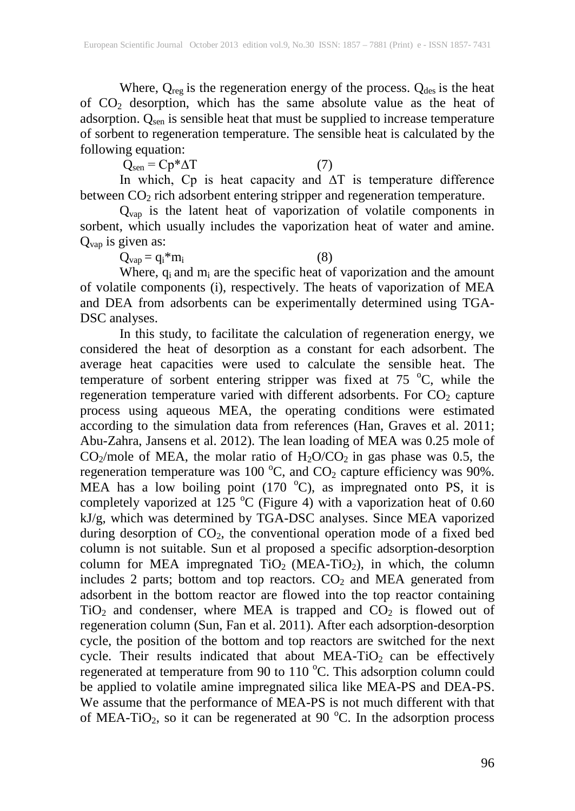Where,  $Q_{reg}$  is the regeneration energy of the process.  $Q_{des}$  is the heat of CO2 desorption, which has the same absolute value as the heat of adsorption.  $Q_{\text{sen}}$  is sensible heat that must be supplied to increase temperature of sorbent to regeneration temperature. The sensible heat is calculated by the following equation:

 $Q_{sen} = Cp^* \Delta T$  (7)

In which, Cp is heat capacity and ∆T is temperature difference between  $CO<sub>2</sub>$  rich adsorbent entering stripper and regeneration temperature.

 $Q_{vap}$  is the latent heat of vaporization of volatile components in sorbent, which usually includes the vaporization heat of water and amine.  $Q_{vap}$  is given as:<br> $Q_{vap} = q_i * m_i$ 

 $Q_{\text{vap}} = q_i^* m_i$  (8)

Where,  $q_i$  and  $m_i$  are the specific heat of vaporization and the amount of volatile components (i), respectively. The heats of vaporization of MEA and DEA from adsorbents can be experimentally determined using TGA-DSC analyses.

In this study, to facilitate the calculation of regeneration energy, we considered the heat of desorption as a constant for each adsorbent. The average heat capacities were used to calculate the sensible heat. The temperature of sorbent entering stripper was fixed at  $75^{\circ}$ C, while the regeneration temperature varied with different adsorbents. For  $CO<sub>2</sub>$  capture process using aqueous MEA, the operating conditions were estimated according to the simulation data from references (Han, Graves et al. 2011; Abu-Zahra, Jansens et al. 2012). The lean loading of MEA was 0.25 mole of  $CO_2$ /mole of MEA, the molar ratio of  $H_2O/CO_2$  in gas phase was 0.5, the regeneration temperature was 100  $^{\circ}$ C, and CO<sub>2</sub> capture efficiency was 90%. MEA has a low boiling point  $(170 \degree C)$ , as impregnated onto PS, it is completely vaporized at 125 °C (Figure 4) with a vaporization heat of 0.60 kJ/g, which was determined by TGA-DSC analyses. Since MEA vaporized during desorption of  $CO<sub>2</sub>$ , the conventional operation mode of a fixed bed column is not suitable. Sun et al proposed a specific adsorption-desorption column for MEA impregnated  $TiO<sub>2</sub>$  (MEA-TiO<sub>2</sub>), in which, the column includes 2 parts; bottom and top reactors.  $CO<sub>2</sub>$  and MEA generated from adsorbent in the bottom reactor are flowed into the top reactor containing  $TiO<sub>2</sub>$  and condenser, where MEA is trapped and  $CO<sub>2</sub>$  is flowed out of regeneration column (Sun, Fan et al. 2011). After each adsorption-desorption cycle, the position of the bottom and top reactors are switched for the next cycle. Their results indicated that about  $MEA-TiO<sub>2</sub>$  can be effectively regenerated at temperature from 90 to 110 °C. This adsorption column could be applied to volatile amine impregnated silica like MEA-PS and DEA-PS. We assume that the performance of MEA-PS is not much different with that of MEA-TiO<sub>2</sub>, so it can be regenerated at 90 °C. In the adsorption process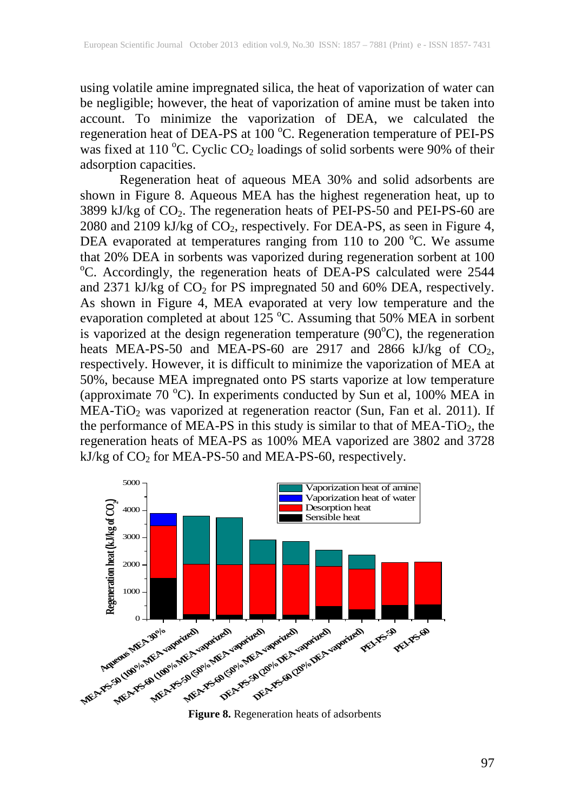using volatile amine impregnated silica, the heat of vaporization of water can be negligible; however, the heat of vaporization of amine must be taken into account. To minimize the vaporization of DEA, we calculated the regeneration heat of DEA-PS at 100 °C. Regeneration temperature of PEI-PS was fixed at 110 °C. Cyclic CO<sub>2</sub> loadings of solid sorbents were 90% of their adsorption capacities.

Regeneration heat of aqueous MEA 30% and solid adsorbents are shown in Figure 8. Aqueous MEA has the highest regeneration heat, up to 3899 kJ/kg of CO2. The regeneration heats of PEI-PS-50 and PEI-PS-60 are 2080 and 2109 kJ/kg of  $\overline{CO_2}$ , respectively. For DEA-PS, as seen in Figure 4, DEA evaporated at temperatures ranging from 110 to 200 °C. We assume that 20% DEA in sorbents was vaporized during regeneration sorbent at 100 °C. Accordingly, the regeneration heats of DEA-PS calculated were 2544 and 2371 kJ/kg of  $CO<sub>2</sub>$  for PS impregnated 50 and 60% DEA, respectively. As shown in Figure 4, MEA evaporated at very low temperature and the evaporation completed at about 125  $^{\circ}$ C. Assuming that 50% MEA in sorbent is vaporized at the design regeneration temperature  $(90^{\circ}C)$ , the regeneration heats MEA-PS-50 and MEA-PS-60 are 2917 and 2866 kJ/kg of  $CO<sub>2</sub>$ , respectively. However, it is difficult to minimize the vaporization of MEA at 50%, because MEA impregnated onto PS starts vaporize at low temperature (approximate  $70^{\circ}$ C). In experiments conducted by Sun et al, 100% MEA in  $MEA-TiO<sub>2</sub>$  was vaporized at regeneration reactor (Sun, Fan et al. 2011). If the performance of MEA-PS in this study is similar to that of MEA-TiO<sub>2</sub>, the regeneration heats of MEA-PS as 100% MEA vaporized are 3802 and 3728 kJ/kg of CO<sub>2</sub> for MEA-PS-50 and MEA-PS-60, respectively.



**Figure 8.** Regeneration heats of adsorbents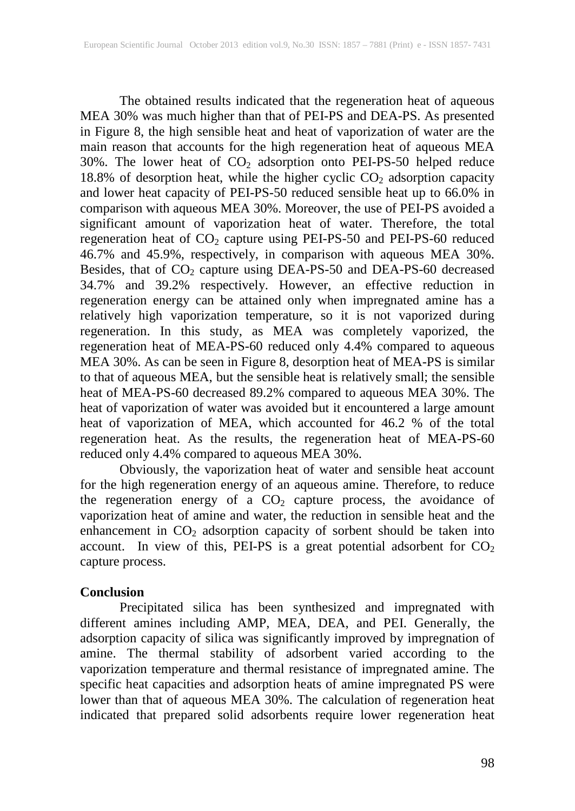The obtained results indicated that the regeneration heat of aqueous MEA 30% was much higher than that of PEI-PS and DEA-PS. As presented in Figure 8, the high sensible heat and heat of vaporization of water are the main reason that accounts for the high regeneration heat of aqueous MEA 30%. The lower heat of  $CO<sub>2</sub>$  adsorption onto PEI-PS-50 helped reduce 18.8% of desorption heat, while the higher cyclic  $CO<sub>2</sub>$  adsorption capacity and lower heat capacity of PEI-PS-50 reduced sensible heat up to 66.0% in comparison with aqueous MEA 30%. Moreover, the use of PEI-PS avoided a significant amount of vaporization heat of water. Therefore, the total regeneration heat of  $CO_2$  capture using PEI-PS-50 and PEI-PS-60 reduced 46.7% and 45.9%, respectively, in comparison with aqueous MEA 30%. Besides, that of  $CO_2$  capture using DEA-PS-50 and DEA-PS-60 decreased 34.7% and 39.2% respectively. However, an effective reduction in regeneration energy can be attained only when impregnated amine has a relatively high vaporization temperature, so it is not vaporized during regeneration. In this study, as MEA was completely vaporized, the regeneration heat of MEA-PS-60 reduced only 4.4% compared to aqueous MEA 30%. As can be seen in Figure 8, desorption heat of MEA-PS is similar to that of aqueous MEA, but the sensible heat is relatively small; the sensible heat of MEA-PS-60 decreased 89.2% compared to aqueous MEA 30%. The heat of vaporization of water was avoided but it encountered a large amount heat of vaporization of MEA, which accounted for 46.2 % of the total regeneration heat. As the results, the regeneration heat of MEA-PS-60 reduced only 4.4% compared to aqueous MEA 30%.

Obviously, the vaporization heat of water and sensible heat account for the high regeneration energy of an aqueous amine. Therefore, to reduce the regeneration energy of a  $CO<sub>2</sub>$  capture process, the avoidance of vaporization heat of amine and water, the reduction in sensible heat and the enhancement in  $CO<sub>2</sub>$  adsorption capacity of sorbent should be taken into account. In view of this, PEI-PS is a great potential adsorbent for  $CO<sub>2</sub>$ capture process.

## **Conclusion**

Precipitated silica has been synthesized and impregnated with different amines including AMP, MEA, DEA, and PEI. Generally, the adsorption capacity of silica was significantly improved by impregnation of amine. The thermal stability of adsorbent varied according to the vaporization temperature and thermal resistance of impregnated amine. The specific heat capacities and adsorption heats of amine impregnated PS were lower than that of aqueous MEA 30%. The calculation of regeneration heat indicated that prepared solid adsorbents require lower regeneration heat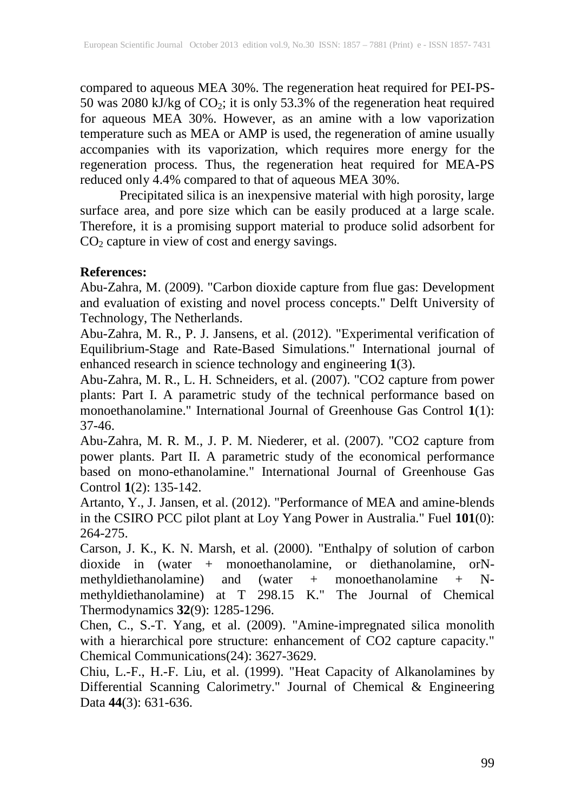compared to aqueous MEA 30%. The regeneration heat required for PEI-PS-50 was 2080 kJ/kg of  $CO_2$ ; it is only 53.3% of the regeneration heat required for aqueous MEA 30%. However, as an amine with a low vaporization temperature such as MEA or AMP is used, the regeneration of amine usually accompanies with its vaporization, which requires more energy for the regeneration process. Thus, the regeneration heat required for MEA-PS reduced only 4.4% compared to that of aqueous MEA 30%.

Precipitated silica is an inexpensive material with high porosity, large surface area, and pore size which can be easily produced at a large scale. Therefore, it is a promising support material to produce solid adsorbent for  $CO<sub>2</sub>$  capture in view of cost and energy savings.

# **References:**

Abu-Zahra, M. (2009). "Carbon dioxide capture from flue gas: Development and evaluation of existing and novel process concepts." Delft University of Technology, The Netherlands.

Abu-Zahra, M. R., P. J. Jansens, et al. (2012). "Experimental verification of Equilibrium-Stage and Rate-Based Simulations." International journal of enhanced research in science technology and engineering **1**(3).

Abu-Zahra, M. R., L. H. Schneiders, et al. (2007). "CO2 capture from power plants: Part I. A parametric study of the technical performance based on monoethanolamine." International Journal of Greenhouse Gas Control **1**(1): 37-46.

Abu-Zahra, M. R. M., J. P. M. Niederer, et al. (2007). "CO2 capture from power plants. Part II. A parametric study of the economical performance based on mono-ethanolamine." International Journal of Greenhouse Gas Control **1**(2): 135-142.

Artanto, Y., J. Jansen, et al. (2012). "Performance of MEA and amine-blends in the CSIRO PCC pilot plant at Loy Yang Power in Australia." Fuel **101**(0): 264-275.

Carson, J. K., K. N. Marsh, et al. (2000). "Enthalpy of solution of carbon dioxide in (water + monoethanolamine, or diethanolamine, orNmethyldiethanolamine) and (water + monoethanolamine + Nmethyldiethanolamine) at T 298.15 K." The Journal of Chemical Thermodynamics **32**(9): 1285-1296.

Chen, C., S.-T. Yang, et al. (2009). "Amine-impregnated silica monolith with a hierarchical pore structure: enhancement of CO2 capture capacity." Chemical Communications(24): 3627-3629.

Chiu, L.-F., H.-F. Liu, et al. (1999). "Heat Capacity of Alkanolamines by Differential Scanning Calorimetry." Journal of Chemical & Engineering Data **44**(3): 631-636.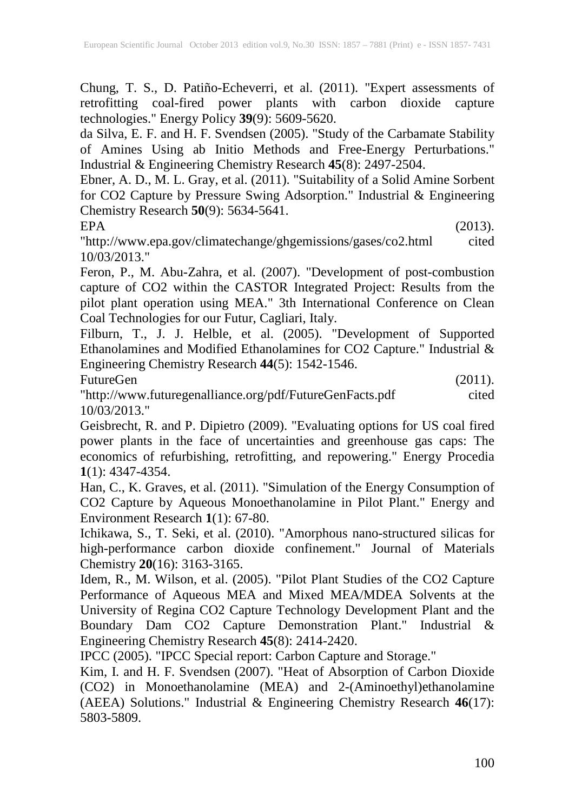Chung, T. S., D. Patiño-Echeverri, et al. (2011). "Expert assessments of retrofitting coal-fired power plants with carbon dioxide capture technologies." Energy Policy **39**(9): 5609-5620.

da Silva, E. F. and H. F. Svendsen (2005). "Study of the Carbamate Stability of Amines Using ab Initio Methods and Free-Energy Perturbations." Industrial & Engineering Chemistry Research **45**(8): 2497-2504.

Ebner, A. D., M. L. Gray, et al. (2011). "Suitability of a Solid Amine Sorbent for CO2 Capture by Pressure Swing Adsorption." Industrial & Engineering Chemistry Research **50**(9): 5634-5641.

 $EPA$  (2013).

"http://www.epa.gov/climatechange/ghgemissions/gases/co2.html cited 10/03/2013."

Feron, P., M. Abu-Zahra, et al. (2007). "Development of post-combustion capture of CO2 within the CASTOR Integrated Project: Results from the pilot plant operation using MEA." 3th International Conference on Clean Coal Technologies for our Futur, Cagliari, Italy.

Filburn, T., J. J. Helble, et al. (2005). "Development of Supported Ethanolamines and Modified Ethanolamines for CO2 Capture." Industrial & Engineering Chemistry Research **44**(5): 1542-1546.

FutureGen (2011).

"http://www.futuregenalliance.org/pdf/FutureGenFacts.pdf cited 10/03/2013."

Geisbrecht, R. and P. Dipietro (2009). "Evaluating options for US coal fired power plants in the face of uncertainties and greenhouse gas caps: The economics of refurbishing, retrofitting, and repowering." Energy Procedia **1**(1): 4347-4354.

Han, C., K. Graves, et al. (2011). "Simulation of the Energy Consumption of CO2 Capture by Aqueous Monoethanolamine in Pilot Plant." Energy and Environment Research **1**(1): 67-80.

Ichikawa, S., T. Seki, et al. (2010). "Amorphous nano-structured silicas for high-performance carbon dioxide confinement." Journal of Materials Chemistry **20**(16): 3163-3165.

Idem, R., M. Wilson, et al. (2005). "Pilot Plant Studies of the CO2 Capture Performance of Aqueous MEA and Mixed MEA/MDEA Solvents at the University of Regina CO2 Capture Technology Development Plant and the Boundary Dam CO2 Capture Demonstration Plant." Industrial & Engineering Chemistry Research **45**(8): 2414-2420.

IPCC (2005). "IPCC Special report: Carbon Capture and Storage."

Kim, I. and H. F. Svendsen (2007). "Heat of Absorption of Carbon Dioxide (CO2) in Monoethanolamine (MEA) and 2-(Aminoethyl)ethanolamine (AEEA) Solutions." Industrial & Engineering Chemistry Research **46**(17): 5803-5809.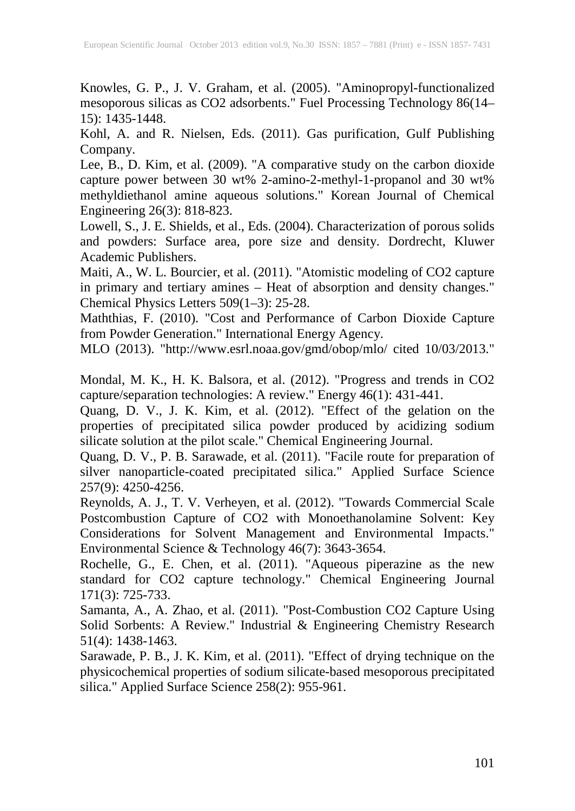Knowles, G. P., J. V. Graham, et al. (2005). "Aminopropyl-functionalized mesoporous silicas as CO2 adsorbents." Fuel Processing Technology 86(14– 15): 1435-1448.

Kohl, A. and R. Nielsen, Eds. (2011). Gas purification, Gulf Publishing Company.

Lee, B., D. Kim, et al. (2009). "A comparative study on the carbon dioxide capture power between 30 wt% 2-amino-2-methyl-1-propanol and 30 wt% methyldiethanol amine aqueous solutions." Korean Journal of Chemical Engineering 26(3): 818-823.

Lowell, S., J. E. Shields, et al., Eds. (2004). Characterization of porous solids and powders: Surface area, pore size and density. Dordrecht, Kluwer Academic Publishers.

Maiti, A., W. L. Bourcier, et al. (2011). "Atomistic modeling of CO2 capture in primary and tertiary amines – Heat of absorption and density changes." Chemical Physics Letters 509(1–3): 25-28.

Maththias, F. (2010). "Cost and Performance of Carbon Dioxide Capture from Powder Generation." International Energy Agency.

MLO (2013). "http://www.esrl.noaa.gov/gmd/obop/mlo/ cited 10/03/2013."

Mondal, M. K., H. K. Balsora, et al. (2012). "Progress and trends in CO2 capture/separation technologies: A review." Energy 46(1): 431-441.

Quang, D. V., J. K. Kim, et al. (2012). "Effect of the gelation on the properties of precipitated silica powder produced by acidizing sodium silicate solution at the pilot scale." Chemical Engineering Journal.

Quang, D. V., P. B. Sarawade, et al. (2011). "Facile route for preparation of silver nanoparticle-coated precipitated silica." Applied Surface Science 257(9): 4250-4256.

Reynolds, A. J., T. V. Verheyen, et al. (2012). "Towards Commercial Scale Postcombustion Capture of CO2 with Monoethanolamine Solvent: Key Considerations for Solvent Management and Environmental Impacts." Environmental Science & Technology 46(7): 3643-3654.

Rochelle, G., E. Chen, et al. (2011). "Aqueous piperazine as the new standard for CO2 capture technology." Chemical Engineering Journal 171(3): 725-733.

Samanta, A., A. Zhao, et al. (2011). "Post-Combustion CO2 Capture Using Solid Sorbents: A Review." Industrial & Engineering Chemistry Research 51(4): 1438-1463.

Sarawade, P. B., J. K. Kim, et al. (2011). "Effect of drying technique on the physicochemical properties of sodium silicate-based mesoporous precipitated silica." Applied Surface Science 258(2): 955-961.